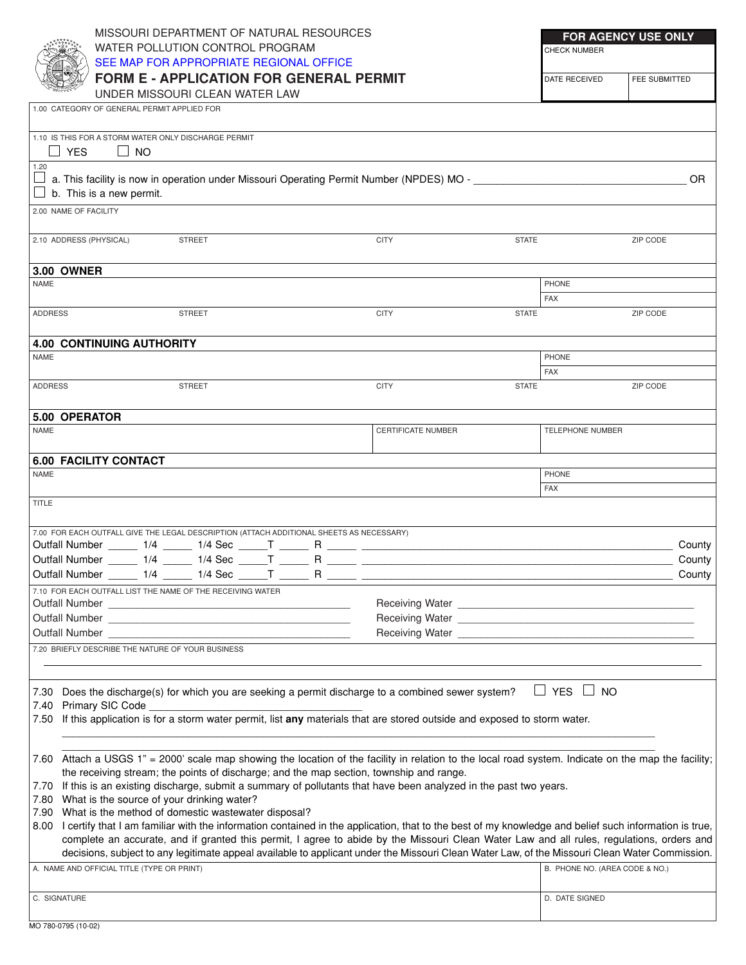## MISSOURI DEPARTMENT OF NATURAL RESOURCES WATER POLLUTION CONTROL PROGRAM SEE MAP [FOR APPROPRIATE REGIONAL](http://www.dnr.state.mo.us/regions/deqregions.htm) OFFICE

**FORM E - APPLICATION FOR GENERAL PERMIT**

UNDER MISSOURI CLEAN WATER LAW **<sup>M</sup> <sup>D</sup> <sup>C</sup> <sup>C</sup> <sup>C</sup> <sup>X</sup> <sup>X</sup>**

CHECK NUMBER

| <b>I DATE RECEIVED</b> | <b>FEE SUBMITTED</b> |
|------------------------|----------------------|

|                                         |                                                                                 | UNDER MISSOURI CLEAN WATER LAW                                                                                                                                                                               |                    |              |                                |          |  |
|-----------------------------------------|---------------------------------------------------------------------------------|--------------------------------------------------------------------------------------------------------------------------------------------------------------------------------------------------------------|--------------------|--------------|--------------------------------|----------|--|
|                                         | 1.00 CATEGORY OF GENERAL PERMIT APPLIED FOR                                     |                                                                                                                                                                                                              |                    |              |                                |          |  |
|                                         | 1.10 IS THIS FOR A STORM WATER ONLY DISCHARGE PERMIT<br>$\Box$ YES<br>$\Box$ NO |                                                                                                                                                                                                              |                    |              |                                |          |  |
| 1.20<br>$\Box$ b. This is a new permit. |                                                                                 |                                                                                                                                                                                                              |                    |              |                                |          |  |
|                                         | 2.00 NAME OF FACILITY                                                           |                                                                                                                                                                                                              |                    |              |                                |          |  |
|                                         | 2.10 ADDRESS (PHYSICAL)                                                         | STREET                                                                                                                                                                                                       | <b>CITY</b>        | <b>STATE</b> |                                | ZIP CODE |  |
|                                         | <b>3.00 OWNER</b>                                                               |                                                                                                                                                                                                              |                    |              |                                |          |  |
| <b>NAME</b>                             |                                                                                 |                                                                                                                                                                                                              |                    |              | PHONE                          |          |  |
|                                         |                                                                                 |                                                                                                                                                                                                              |                    | <b>FAX</b>   |                                |          |  |
| <b>ADDRESS</b>                          |                                                                                 | STREET                                                                                                                                                                                                       | <b>CITY</b>        | <b>STATE</b> |                                | ZIP CODE |  |
|                                         | <b>4.00 CONTINUING AUTHORITY</b>                                                |                                                                                                                                                                                                              |                    |              |                                |          |  |
| <b>NAME</b>                             |                                                                                 |                                                                                                                                                                                                              |                    |              | PHONE                          |          |  |
|                                         |                                                                                 |                                                                                                                                                                                                              |                    | <b>FAX</b>   |                                |          |  |
| <b>ADDRESS</b>                          |                                                                                 | STREET                                                                                                                                                                                                       | <b>CITY</b>        | <b>STATE</b> |                                | ZIP CODE |  |
|                                         | 5.00 OPERATOR                                                                   |                                                                                                                                                                                                              |                    |              |                                |          |  |
| <b>NAME</b>                             |                                                                                 |                                                                                                                                                                                                              | CERTIFICATE NUMBER |              | <b>TELEPHONE NUMBER</b>        |          |  |
|                                         | <b>6.00 FACILITY CONTACT</b>                                                    |                                                                                                                                                                                                              |                    |              |                                |          |  |
| <b>NAME</b>                             |                                                                                 |                                                                                                                                                                                                              |                    |              | PHONE                          |          |  |
| <b>TITLE</b>                            |                                                                                 |                                                                                                                                                                                                              |                    | <b>FAX</b>   |                                |          |  |
|                                         |                                                                                 | 7.00 FOR EACH OUTFALL GIVE THE LEGAL DESCRIPTION (ATTACH ADDITIONAL SHEETS AS NECESSARY)                                                                                                                     |                    |              |                                |          |  |
|                                         |                                                                                 |                                                                                                                                                                                                              |                    |              |                                | County   |  |
|                                         |                                                                                 |                                                                                                                                                                                                              |                    |              |                                | County   |  |
|                                         |                                                                                 |                                                                                                                                                                                                              |                    |              |                                | County   |  |
|                                         |                                                                                 | 7.10 FOR EACH OUTFALL LIST THE NAME OF THE RECEIVING WATER                                                                                                                                                   |                    |              |                                |          |  |
|                                         |                                                                                 |                                                                                                                                                                                                              |                    |              |                                |          |  |
|                                         |                                                                                 |                                                                                                                                                                                                              |                    |              |                                |          |  |
|                                         | <b>Outfall Number</b>                                                           |                                                                                                                                                                                                              | Receiving Water    |              |                                |          |  |
|                                         | 7.20 BRIEFLY DESCRIBE THE NATURE OF YOUR BUSINESS                               |                                                                                                                                                                                                              |                    |              |                                |          |  |
|                                         |                                                                                 |                                                                                                                                                                                                              |                    |              |                                |          |  |
| 7.30                                    |                                                                                 | Does the discharge(s) for which you are seeking a permit discharge to a combined sewer system?                                                                                                               |                    |              | YES<br>$\Box$ No               |          |  |
| 7.40<br>7.50                            | Primary SIC Code                                                                | If this application is for a storm water permit, list any materials that are stored outside and exposed to storm water.                                                                                      |                    |              |                                |          |  |
|                                         |                                                                                 |                                                                                                                                                                                                              |                    |              |                                |          |  |
|                                         |                                                                                 | 7.60 Attach a USGS 1" = 2000' scale map showing the location of the facility in relation to the local road system. Indicate on the map the facility;                                                         |                    |              |                                |          |  |
|                                         |                                                                                 | the receiving stream; the points of discharge; and the map section, township and range.                                                                                                                      |                    |              |                                |          |  |
| 7.70                                    |                                                                                 | If this is an existing discharge, submit a summary of pollutants that have been analyzed in the past two years.                                                                                              |                    |              |                                |          |  |
| 7.80                                    |                                                                                 | What is the source of your drinking water?                                                                                                                                                                   |                    |              |                                |          |  |
| 7.90                                    |                                                                                 | What is the method of domestic wastewater disposal?<br>I certify that I am familiar with the information contained in the application, that to the best of my knowledge and belief such information is true, |                    |              |                                |          |  |
| 8.00                                    |                                                                                 | complete an accurate, and if granted this permit, I agree to abide by the Missouri Clean Water Law and all rules, regulations, orders and                                                                    |                    |              |                                |          |  |
|                                         |                                                                                 | decisions, subject to any legitimate appeal available to applicant under the Missouri Clean Water Law, of the Missouri Clean Water Commission.                                                               |                    |              |                                |          |  |
|                                         | A. NAME AND OFFICIAL TITLE (TYPE OR PRINT)                                      |                                                                                                                                                                                                              |                    |              | B. PHONE NO. (AREA CODE & NO.) |          |  |
|                                         | C. SIGNATURE                                                                    |                                                                                                                                                                                                              |                    |              | D. DATE SIGNED                 |          |  |
|                                         |                                                                                 |                                                                                                                                                                                                              |                    |              |                                |          |  |
|                                         | MO 780-0795 (10-02)                                                             |                                                                                                                                                                                                              |                    |              |                                |          |  |